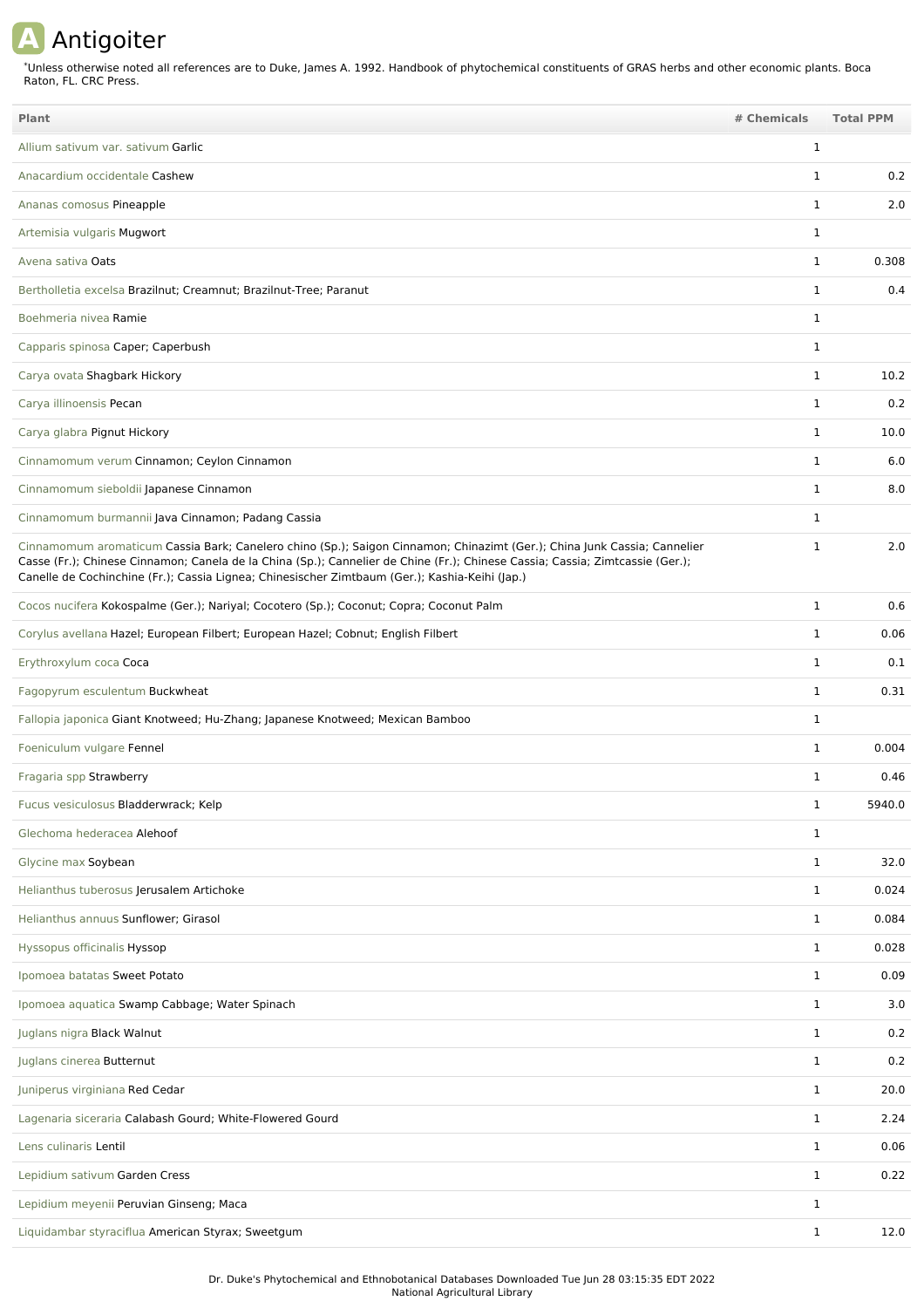## **A** Antigoiter

Unless otherwise noted all references are to Duke, James A. 1992. Handbook of phytochemical constituents of GRAS herbs and other economic plants. Boca Raton, FL. CRC Press. \*

| Plant                                                                                                                                                                                                                                                                                                                                                       | # Chemicals  | <b>Total PPM</b> |
|-------------------------------------------------------------------------------------------------------------------------------------------------------------------------------------------------------------------------------------------------------------------------------------------------------------------------------------------------------------|--------------|------------------|
| Allium sativum var. sativum Garlic                                                                                                                                                                                                                                                                                                                          | 1            |                  |
| Anacardium occidentale Cashew                                                                                                                                                                                                                                                                                                                               | $\mathbf{1}$ | 0.2              |
| Ananas comosus Pineapple                                                                                                                                                                                                                                                                                                                                    | $\mathbf{1}$ | 2.0              |
| Artemisia vulgaris Mugwort                                                                                                                                                                                                                                                                                                                                  | $\mathbf{1}$ |                  |
| Avena sativa Oats                                                                                                                                                                                                                                                                                                                                           | 1            | 0.308            |
| Bertholletia excelsa Brazilnut; Creamnut; Brazilnut-Tree; Paranut                                                                                                                                                                                                                                                                                           | $\mathbf 1$  | 0.4              |
| Boehmeria nivea Ramie                                                                                                                                                                                                                                                                                                                                       | 1            |                  |
| Capparis spinosa Caper; Caperbush                                                                                                                                                                                                                                                                                                                           | $\mathbf{1}$ |                  |
| Carya ovata Shagbark Hickory                                                                                                                                                                                                                                                                                                                                | 1            | 10.2             |
| Carya illinoensis Pecan                                                                                                                                                                                                                                                                                                                                     | $\mathbf 1$  | 0.2              |
| Carya glabra Pignut Hickory                                                                                                                                                                                                                                                                                                                                 | $\mathbf{1}$ | 10.0             |
| Cinnamomum verum Cinnamon; Ceylon Cinnamon                                                                                                                                                                                                                                                                                                                  | $\mathbf{1}$ | 6.0              |
| Cinnamomum sieboldii Japanese Cinnamon                                                                                                                                                                                                                                                                                                                      | $\mathbf{1}$ | 8.0              |
| Cinnamomum burmannii Java Cinnamon; Padang Cassia                                                                                                                                                                                                                                                                                                           | $\mathbf{1}$ |                  |
| Cinnamomum aromaticum Cassia Bark; Canelero chino (Sp.); Saigon Cinnamon; Chinazimt (Ger.); China Junk Cassia; Cannelier<br>Casse (Fr.); Chinese Cinnamon; Canela de la China (Sp.); Cannelier de Chine (Fr.); Chinese Cassia; Cassia; Zimtcassie (Ger.);<br>Canelle de Cochinchine (Fr.); Cassia Lignea; Chinesischer Zimtbaum (Ger.); Kashia-Keihi (Jap.) | 1            | 2.0              |
| Cocos nucifera Kokospalme (Ger.); Nariyal; Cocotero (Sp.); Coconut; Copra; Coconut Palm                                                                                                                                                                                                                                                                     | $\mathbf{1}$ | 0.6              |
| Corylus avellana Hazel; European Filbert; European Hazel; Cobnut; English Filbert                                                                                                                                                                                                                                                                           | 1            | 0.06             |
| Erythroxylum coca Coca                                                                                                                                                                                                                                                                                                                                      | $\mathbf 1$  | 0.1              |
| Fagopyrum esculentum Buckwheat                                                                                                                                                                                                                                                                                                                              | $\mathbf 1$  | 0.31             |
| Fallopia japonica Giant Knotweed; Hu-Zhang; Japanese Knotweed; Mexican Bamboo                                                                                                                                                                                                                                                                               | $\mathbf{1}$ |                  |
| Foeniculum vulgare Fennel                                                                                                                                                                                                                                                                                                                                   | 1            | 0.004            |
| Fragaria spp Strawberry                                                                                                                                                                                                                                                                                                                                     | $\mathbf{1}$ | 0.46             |
| Fucus vesiculosus Bladderwrack; Kelp                                                                                                                                                                                                                                                                                                                        | $\mathbf{1}$ | 5940.0           |
| Glechoma hederacea Alehoof                                                                                                                                                                                                                                                                                                                                  | $\mathbf{1}$ |                  |
| Glycine max Soybean                                                                                                                                                                                                                                                                                                                                         | $\mathbf{1}$ | 32.0             |
| Helianthus tuberosus Jerusalem Artichoke                                                                                                                                                                                                                                                                                                                    | $\mathbf{1}$ | 0.024            |
| Helianthus annuus Sunflower; Girasol                                                                                                                                                                                                                                                                                                                        | $\mathbf{1}$ | 0.084            |
| Hyssopus officinalis Hyssop                                                                                                                                                                                                                                                                                                                                 | $\mathbf{1}$ | 0.028            |
| Ipomoea batatas Sweet Potato                                                                                                                                                                                                                                                                                                                                | $\mathbf{1}$ | 0.09             |
| Ipomoea aquatica Swamp Cabbage; Water Spinach                                                                                                                                                                                                                                                                                                               | $\mathbf{1}$ | 3.0              |
| Juglans nigra Black Walnut                                                                                                                                                                                                                                                                                                                                  | $\mathbf{1}$ | 0.2              |
| Juglans cinerea Butternut                                                                                                                                                                                                                                                                                                                                   | $\mathbf{1}$ | 0.2              |
| Juniperus virginiana Red Cedar                                                                                                                                                                                                                                                                                                                              | $\mathbf{1}$ | 20.0             |
| Lagenaria siceraria Calabash Gourd; White-Flowered Gourd                                                                                                                                                                                                                                                                                                    | $\mathbf{1}$ | 2.24             |
| Lens culinaris Lentil                                                                                                                                                                                                                                                                                                                                       | $\mathbf{1}$ | 0.06             |
| Lepidium sativum Garden Cress                                                                                                                                                                                                                                                                                                                               | $\mathbf{1}$ | 0.22             |
| Lepidium meyenii Peruvian Ginseng; Maca                                                                                                                                                                                                                                                                                                                     | $\mathbf{1}$ |                  |
| Liquidambar styraciflua American Styrax; Sweetgum                                                                                                                                                                                                                                                                                                           | $\mathbf{1}$ | 12.0             |